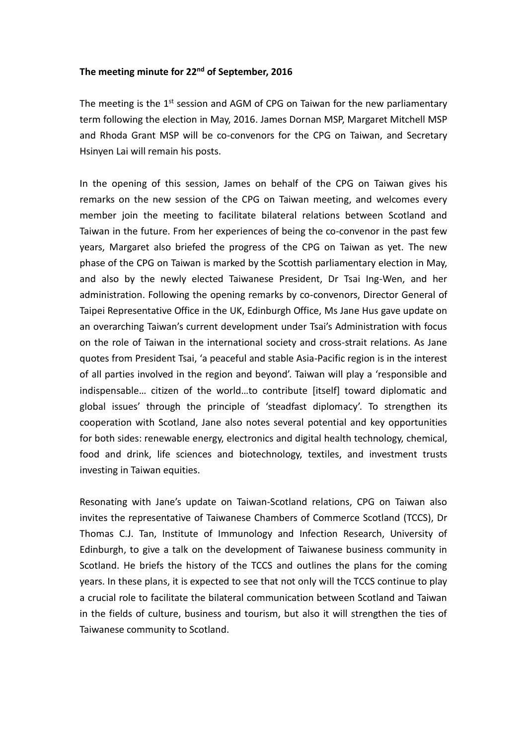## **The meeting minute for 22nd of September, 2016**

The meeting is the  $1<sup>st</sup>$  session and AGM of CPG on Taiwan for the new parliamentary term following the election in May, 2016. James Dornan MSP, Margaret Mitchell MSP and Rhoda Grant MSP will be co-convenors for the CPG on Taiwan, and Secretary Hsinyen Lai will remain his posts.

In the opening of this session, James on behalf of the CPG on Taiwan gives his remarks on the new session of the CPG on Taiwan meeting, and welcomes every member join the meeting to facilitate bilateral relations between Scotland and Taiwan in the future. From her experiences of being the co-convenor in the past few years, Margaret also briefed the progress of the CPG on Taiwan as yet. The new phase of the CPG on Taiwan is marked by the Scottish parliamentary election in May, and also by the newly elected Taiwanese President, Dr Tsai Ing-Wen, and her administration. Following the opening remarks by co-convenors, Director General of Taipei Representative Office in the UK, Edinburgh Office, Ms Jane Hus gave update on an overarching Taiwan's current development under Tsai's Administration with focus on the role of Taiwan in the international society and cross-strait relations. As Jane quotes from President Tsai, 'a peaceful and stable Asia-Pacific region is in the interest of all parties involved in the region and beyond'. Taiwan will play a 'responsible and indispensable… citizen of the world…to contribute [itself] toward diplomatic and global issues' through the principle of 'steadfast diplomacy'. To strengthen its cooperation with Scotland, Jane also notes several potential and key opportunities for both sides: renewable energy, electronics and digital health technology, chemical, food and drink, life sciences and biotechnology, textiles, and investment trusts investing in Taiwan equities.

Resonating with Jane's update on Taiwan-Scotland relations, CPG on Taiwan also invites the representative of Taiwanese Chambers of Commerce Scotland (TCCS), Dr Thomas C.J. Tan, Institute of Immunology and Infection Research, University of Edinburgh, to give a talk on the development of Taiwanese business community in Scotland. He briefs the history of the TCCS and outlines the plans for the coming years. In these plans, it is expected to see that not only will the TCCS continue to play a crucial role to facilitate the bilateral communication between Scotland and Taiwan in the fields of culture, business and tourism, but also it will strengthen the ties of Taiwanese community to Scotland.